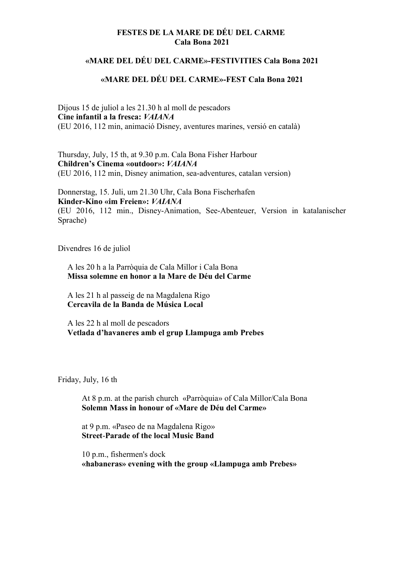## FESTES DE LA MARE DE DÉU DEL CARME Cala Bona 2021

## «MARE DEL DÉU DEL CARME»-FESTIVITIES Cala Bona 2021

## «MARE DEL DÉU DEL CARME»-FEST Cala Bona 2021

Dijous 15 de juliol a les 21.30 h al moll de pescadors Cine infantil a la fresca: VAIANA (EU 2016, 112 min, animació Disney, aventures marines, versió en català)

Thursday, July, 15 th, at 9.30 p.m. Cala Bona Fisher Harbour Children's Cinema «outdoor»: VAIANA (EU 2016, 112 min, Disney animation, sea-adventures, catalan version)

Donnerstag, 15. Juli, um 21.30 Uhr, Cala Bona Fischerhafen Kinder-Kino «im Freien»: VAIANA (EU 2016, 112 min., Disney-Animation, See-Abenteuer, Version in katalanischer Sprache)

Divendres 16 de juliol

A les 20 h a la Parròquia de Cala Millor i Cala Bona Missa solemne en honor a la Mare de Déu del Carme

A les 21 h al passeig de na Magdalena Rigo Cercavila de la Banda de Música Local

A les 22 h al moll de pescadors Vetlada d'havaneres amb el grup Llampuga amb Prebes

Friday, July, 16 th

At 8 p.m. at the parish church «Parròquia» of Cala Millor/Cala Bona Solemn Mass in honour of «Mare de Déu del Carme»

at 9 p.m. «Paseo de na Magdalena Rigo» Street-Parade of the local Music Band

10 p.m., fishermen's dock «habaneras» evening with the group «Llampuga amb Prebes»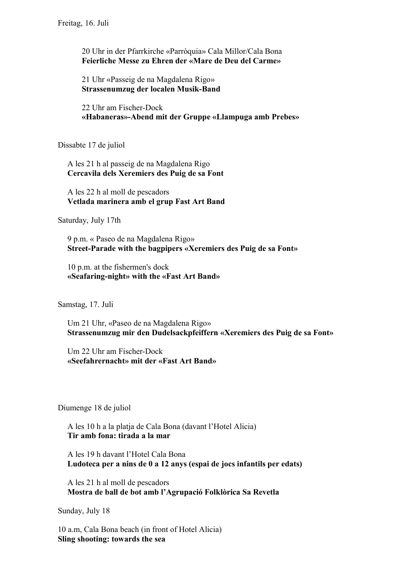20 Uhr in der Pfarrkirche «Parròquia» Cala Millor/Cala Bona Feierliche Messe zu Ehren der «Mare de Deu del Carme»

21 Uhr «Passeig de na Magdalena Rigo» Strassenumzug der localen Musik-Band

22 Uhr am Fischer-Dock «Habaneras»-Abend mit der Gruppe «Llampuga amb Prebes»

Dissabte 17 de juliol

A les 21 h al passeig de na Magdalena Rigo Cercavila dels Xeremiers des Puig de sa Font

A les 22 h al moll de pescadors Vetlada marinera amb el grup Fast Art Band

Saturday, July 17th

9 p.m. « Paseo de na Magdalena Rigo» Street-Parade with the bagpipers «Xeremiers des Puig de sa Font»

10 p.m. at the fishermen's dock «Seafaring-night» with the «Fast Art Band»

Samstag, 17. Juli

Um 21 Uhr, «Paseo de na Magdalena Rigo» Strassenumzug mir den Dudelsackpfeiffern «Xeremiers des Puig de sa Font»

Um 22 Uhr am Fischer-Dock «Seefahrernacht» mit der «Fast Art Band»

Diumenge 18 de juliol

A les 10 h a la platja de Cala Bona (davant l'Hotel Alicia) Tir amb fona: tirada a la mar

A les 19 h davant l'Hotel Cala Bona Ludoteca per a nins de 0 a 12 anys (espai de jocs infantils per edats)

A les 21 h al moll de pescadors Mostra de ball de bot amb l'Agrupació Folklòrica Sa Revetla

Sunday, July 18

10 a.m, Cala Bona beach (in front of Hotel Alicia) Sling shooting: towards the sea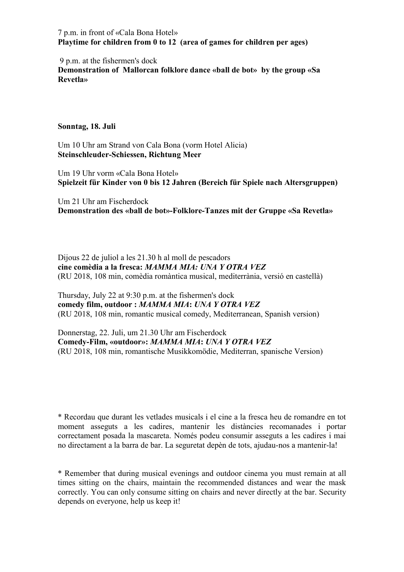7 p.m. in front of «Cala Bona Hotel» Playtime for children from 0 to 12 (area of games for children per ages)

9 p.m. at the fishermen's dock

Demonstration of Mallorcan folklore dance «ball de bot» by the group «Sa Revetla»

## Sonntag, 18. Juli

Um 10 Uhr am Strand von Cala Bona (vorm Hotel Alicia) Steinschleuder-Schiessen, Richtung Meer

Um 19 Uhr vorm «Cala Bona Hotel» Spielzeit für Kinder von 0 bis 12 Jahren (Bereich für Spiele nach Altersgruppen)

Um 21 Uhr am Fischerdock Demonstration des «ball de bot»-Folklore-Tanzes mit der Gruppe «Sa Revetla»

Dijous 22 de juliol a les 21.30 h al moll de pescadors cine comèdia a la fresca: MAMMA MIA: UNA Y OTRA VEZ (RU 2018, 108 min, comèdia romàntica musical, mediterrània, versió en castellà)

Thursday, July 22 at 9:30 p.m. at the fishermen's dock comedy film, outdoor : MAMMA MIA: UNA Y OTRA VEZ (RU 2018, 108 min, romantic musical comedy, Mediterranean, Spanish version)

Donnerstag, 22. Juli, um 21.30 Uhr am Fischerdock Comedy-Film, «outdoor»: MAMMA MIA: UNA Y OTRA VEZ (RU 2018, 108 min, romantische Musikkomödie, Mediterran, spanische Version)

\* Recordau que durant les vetlades musicals i el cine a la fresca heu de romandre en tot moment asseguts a les cadires, mantenir les distàncies recomanades i portar correctament posada la mascareta. Només podeu consumir asseguts a les cadires i mai no directament a la barra de bar. La seguretat depèn de tots, ajudau-nos a mantenir-la!

\* Remember that during musical evenings and outdoor cinema you must remain at all times sitting on the chairs, maintain the recommended distances and wear the mask correctly. You can only consume sitting on chairs and never directly at the bar. Security depends on everyone, help us keep it!